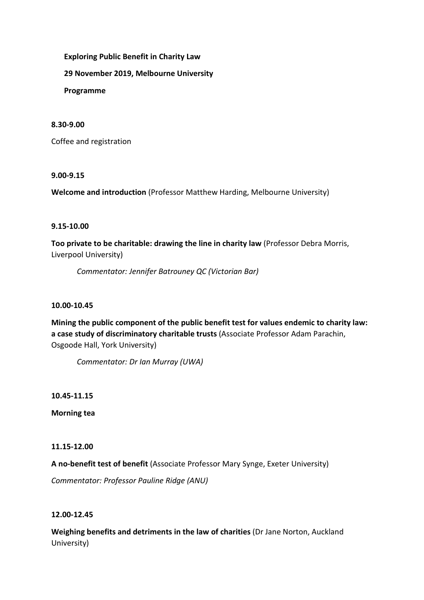**Exploring Public Benefit in Charity Law**

**29 November 2019, Melbourne University**

**Programme**

## **8.30-9.00**

Coffee and registration

### **9.00-9.15**

**Welcome and introduction** (Professor Matthew Harding, Melbourne University)

# **9.15-10.00**

**Too private to be charitable: drawing the line in charity law** (Professor Debra Morris, Liverpool University)

*Commentator: Jennifer Batrouney QC (Victorian Bar)*

# **10.00-10.45**

**Mining the public component of the public benefit test for values endemic to charity law: a case study of discriminatory charitable trusts** (Associate Professor Adam Parachin, Osgoode Hall, York University)

*Commentator: Dr Ian Murray (UWA)*

**10.45-11.15**

**Morning tea**

### **11.15-12.00**

**A no-benefit test of benefit** (Associate Professor Mary Synge, Exeter University)

*Commentator: Professor Pauline Ridge (ANU)*

### **12.00-12.45**

**Weighing benefits and detriments in the law of charities** (Dr Jane Norton, Auckland University)